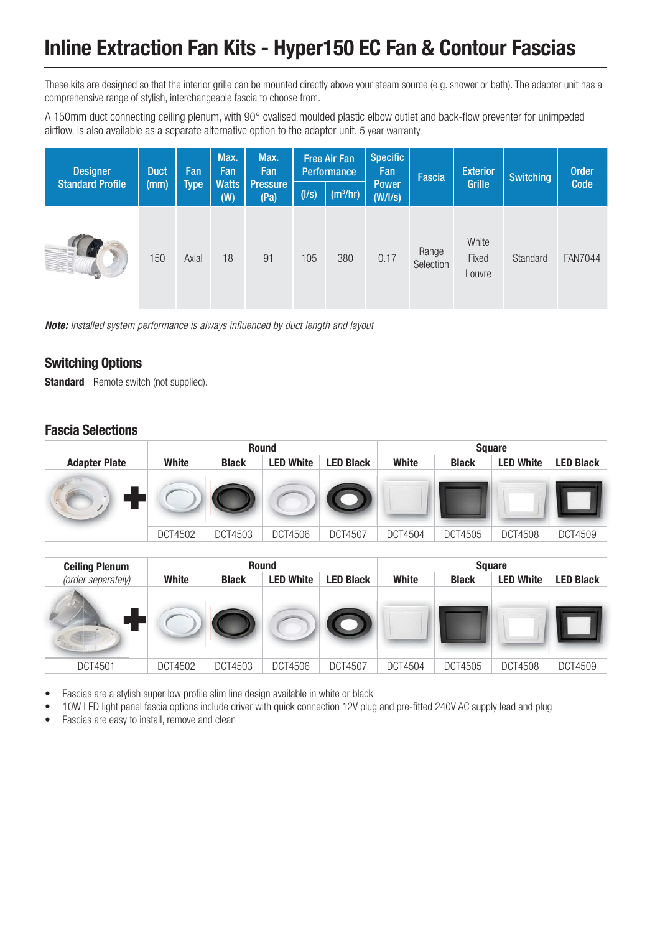## **Inline Extraction Fan Kits - Hyper150 EC Fan & Contour Fascias**

These kits are designed so that the interior grille can be mounted directly above your steam source (e.g. shower or bath). The adapter unit has a comprehensive range of stylish, interchangeable fascia to choose from.

A 150mm duct connecting ceiling plenum, with 90° ovalised moulded plastic elbow outlet and back-flow preventer for unimpeded airflow, is also available as a separate alternative option to the adapter unit. 5 year warranty.

| <b>Designer</b>         | <b>Duct</b><br>(mm) | Fan<br><b>Type</b> | Max.<br>Fan<br><b>Watts</b><br>(W) | Max.<br>Fan             | <b>Free Air Fan</b><br><b>Performance</b> |            | <b>Specific</b><br>Fan | Fascia             | <b>Exterior</b>          | <b>Switching</b> | <b>Order</b>   |
|-------------------------|---------------------|--------------------|------------------------------------|-------------------------|-------------------------------------------|------------|------------------------|--------------------|--------------------------|------------------|----------------|
| <b>Standard Profile</b> |                     |                    |                                    | <b>Pressure</b><br>(Pa) | (1/s)                                     | $(m^3/hr)$ | <b>Power</b><br>(W/IS) |                    | Grille                   |                  | Code           |
|                         | 150                 | Axial              | 18                                 | 91                      | 105                                       | 380        | 0.17                   | Range<br>Selection | White<br>Fixed<br>Louvre | Standard         | <b>FAN7044</b> |

*Note:* Installed system performance is always influenced by duct length and layout

#### **Switching Options**

**Standard** Remote switch (not supplied).

#### **Fascia Selections**

|                      |         | <b>Round</b> |                  |                  |              | <b>Square</b> |                  |                  |  |  |
|----------------------|---------|--------------|------------------|------------------|--------------|---------------|------------------|------------------|--|--|
| <b>Adapter Plate</b> | White   | <b>Black</b> | <b>LED White</b> | <b>LED Black</b> | <b>White</b> | <b>Black</b>  | <b>LED White</b> | <b>LED Black</b> |  |  |
|                      |         |              |                  |                  |              |               |                  |                  |  |  |
|                      | DCT4502 | DCT4503      | DCT4506          | <b>DCT4507</b>   | DCT4504      | DCT4505       | <b>DCT4508</b>   | DCT4509          |  |  |

| <b>Ceiling Plenum</b> | <b>Round</b> |              |                  |                  | <b>Square</b> |              |                  |                  |
|-----------------------|--------------|--------------|------------------|------------------|---------------|--------------|------------------|------------------|
| (order separately)    | White        | <b>Black</b> | <b>LED White</b> | <b>LED Black</b> | <b>White</b>  | <b>Black</b> | <b>LED White</b> | <b>LED Black</b> |
|                       |              |              |                  |                  |               |              |                  |                  |
| DCT4501               | DCT4502      | DCT4503      | DCT4506          | <b>DCT4507</b>   | DCT4504       | DCT4505      | <b>DCT4508</b>   | DCT4509          |

- Fascias are a stylish super low profile slim line design available in white or black
- 10W LED light panel fascia options include driver with quick connection 12V plug and pre-fitted 240V AC supply lead and plug
- Fascias are easy to install, remove and clean